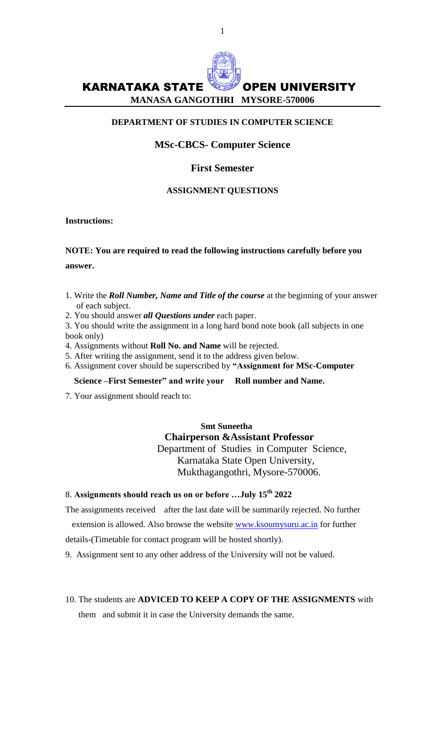

## **DEPARTMENT OF STUDIES IN COMPUTER SCIENCE**

# **MSc-CBCS- Computer Science**

## **First Semester**

## **ASSIGNMENT QUESTIONS**

# **Instructions:**

# **NOTE: You are required to read the following instructions carefully before you answer.**

- 1. Write the *Roll Number, Name and Title of the course* at the beginning of your answer of each subject.
- 2. You should answer *all Questions under* each paper.
- 3. You should write the assignment in a long hard bond note book (all subjects in one book only)
- 4. Assignments without **Roll No. and Name** will be rejected.
- 5. After writing the assignment, send it to the address given below.
- 6. Assignment cover should be superscribed by **"Assignment for MSc-Computer**

# **Science –First Semester" and write your Roll number and Name.**

7. Your assignment should reach to:

# **Smt Suneetha Chairperson &Assistant Professor** Department of Studies in Computer Science, Karnataka State Open University, Mukthagangothri, Mysore-570006.

# 8. **Assignments should reach us on or before …July 15th 2022**

The assignments received after the last date will be summarily rejected. No further extension is allowed. Also browse the website [www.ksoumysuru.ac.in](../Downloads/www.ksoumysuru.ac.in) for further details-(Timetable for contact program will be hosted shortly).

- 9. Assignment sent to any other address of the University will not be valued.
- 10. The students are **ADVICED TO KEEP A COPY OF THE ASSIGNMENTS** with them and submit it in case the University demands the same.

1